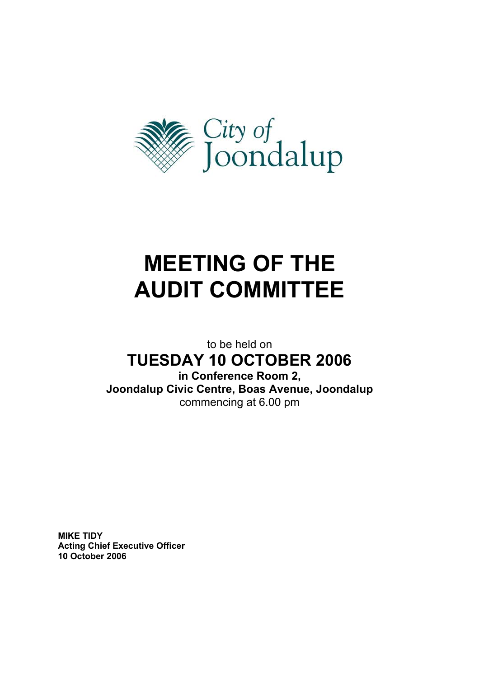

# **MEETING OF THE AUDIT COMMITTEE**

to be held on

## **TUESDAY 10 OCTOBER 2006**

**in Conference Room 2, Joondalup Civic Centre, Boas Avenue, Joondalup**  commencing at 6.00 pm

**MIKE TIDY Acting Chief Executive Officer 10 October 2006**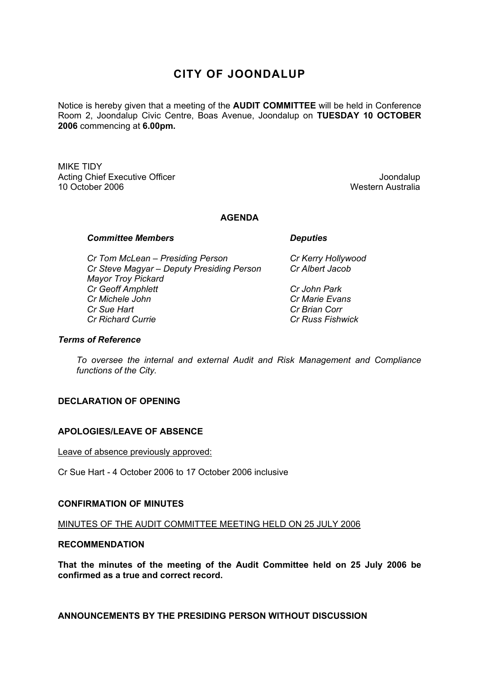### **CITY OF JOONDALUP**

Notice is hereby given that a meeting of the **AUDIT COMMITTEE** will be held in Conference Room 2, Joondalup Civic Centre, Boas Avenue, Joondalup on **TUESDAY 10 OCTOBER 2006** commencing at **6.00pm.** 

MIKE TIDY Acting Chief Executive Officer **Joondalup Acting Chief Executive Officer** Joondalup 10 October 2006 Western Australia

#### **AGENDA**

#### **Committee Members Committee Avenue Committee Avenue Committee Avenue Committee Avenue Committee Avenue Committee**

 *Cr Tom McLean – Presiding Person Cr Kerry Hollywood Cr Steve Magyar – Deputy Presiding Person Cr Albert Jacob Mayor Troy Pickard Cr Geoff Amphlett Cr John Park Cr Michele John Cr Marie Evans Cr Sue Hart* **Cr Brian Corr**  *Cr Richard Currie Cr Russ Fishwick* 

#### *Terms of Reference*

*To oversee the internal and external Audit and Risk Management and Compliance functions of the City.* 

#### **DECLARATION OF OPENING**

#### **APOLOGIES/LEAVE OF ABSENCE**

#### Leave of absence previously approved:

Cr Sue Hart - 4 October 2006 to 17 October 2006 inclusive

#### **CONFIRMATION OF MINUTES**

MINUTES OF THE AUDIT COMMITTEE MEETING HELD ON 25 JULY 2006

#### **RECOMMENDATION**

**That the minutes of the meeting of the Audit Committee held on 25 July 2006 be confirmed as a true and correct record.** 

**ANNOUNCEMENTS BY THE PRESIDING PERSON WITHOUT DISCUSSION**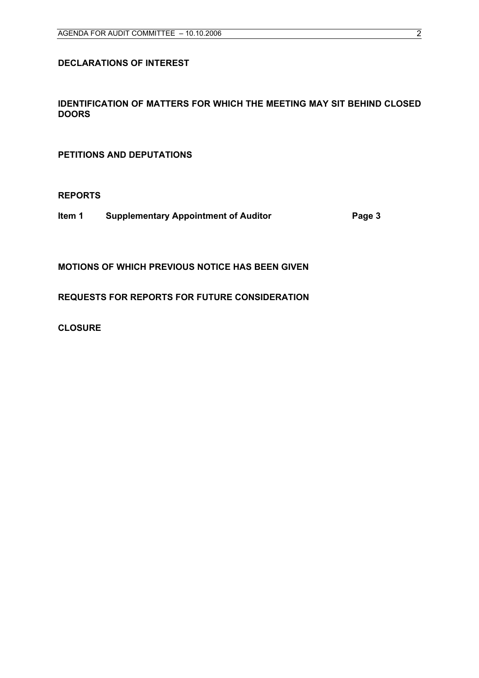#### **DECLARATIONS OF INTEREST**

#### **IDENTIFICATION OF MATTERS FOR WHICH THE MEETING MAY SIT BEHIND CLOSED DOORS**

**PETITIONS AND DEPUTATIONS** 

**REPORTS** 

**Item 1 Supplementary Appointment of Auditor Fage 3** 

**MOTIONS OF WHICH PREVIOUS NOTICE HAS BEEN GIVEN** 

**REQUESTS FOR REPORTS FOR FUTURE CONSIDERATION** 

**CLOSURE**